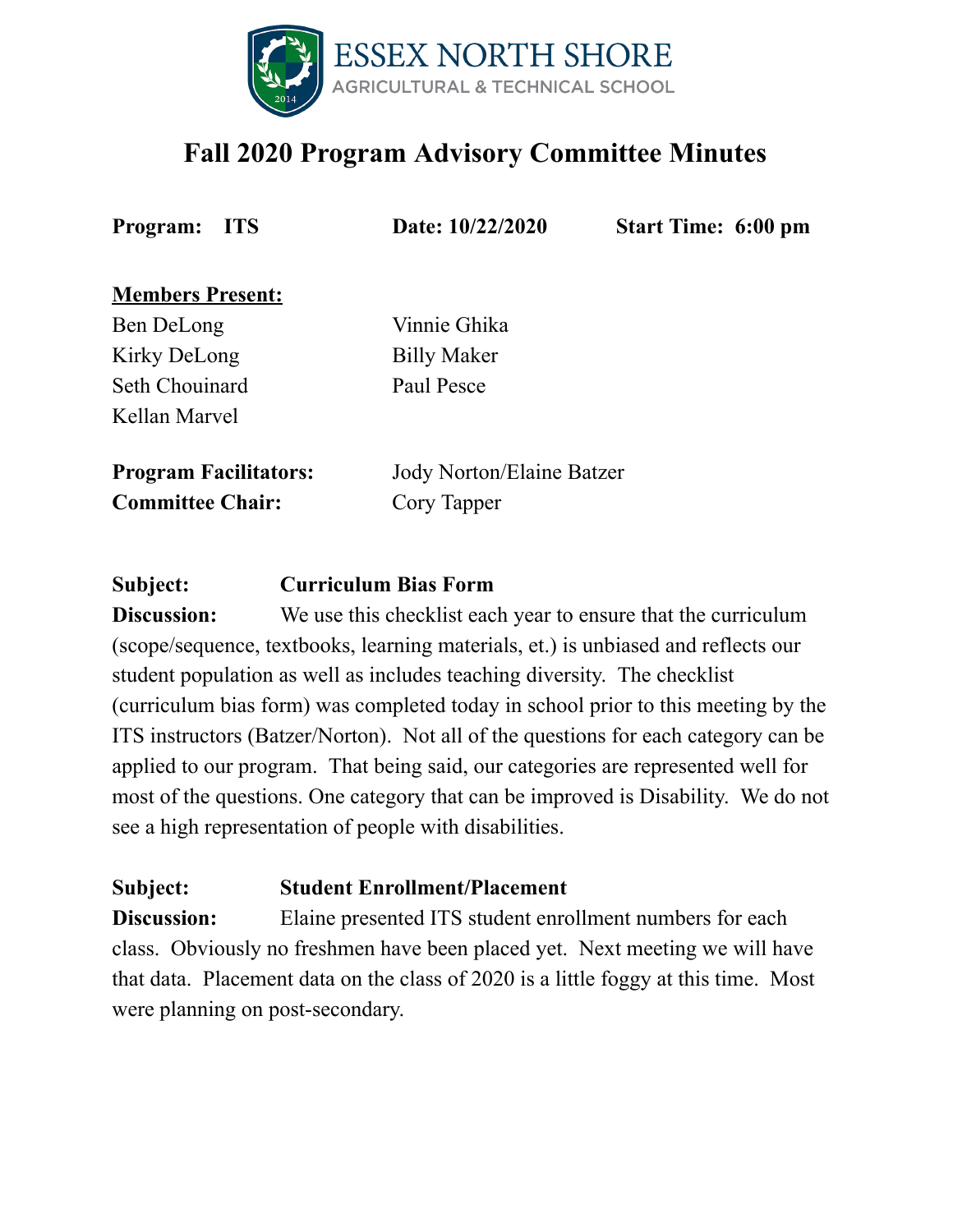

# **Fall 2020 Program Advisory Committee Minutes**

**Program: ITS Date: 10/22/2020 Start Time: 6:00 pm**

#### **Members Present:**

Ben DeLong Vinnie Ghika Kirky DeLong Billy Maker Seth Chouinard Paul Pesce Kellan Marvel

**Committee Chair:** Cory Tapper

**Program Facilitators:** Jody Norton/Elaine Batzer

**Subject: Curriculum Bias Form**

**Discussion:** We use this checklist each year to ensure that the curriculum (scope/sequence, textbooks, learning materials, et.) is unbiased and reflects our student population as well as includes teaching diversity. The checklist (curriculum bias form) was completed today in school prior to this meeting by the ITS instructors (Batzer/Norton). Not all of the questions for each category can be applied to our program. That being said, our categories are represented well for most of the questions. One category that can be improved is Disability. We do not see a high representation of people with disabilities.

## **Subject: Student Enrollment/Placement**

**Discussion:** Elaine presented ITS student enrollment numbers for each class. Obviously no freshmen have been placed yet. Next meeting we will have that data. Placement data on the class of 2020 is a little foggy at this time. Most were planning on post-secondary.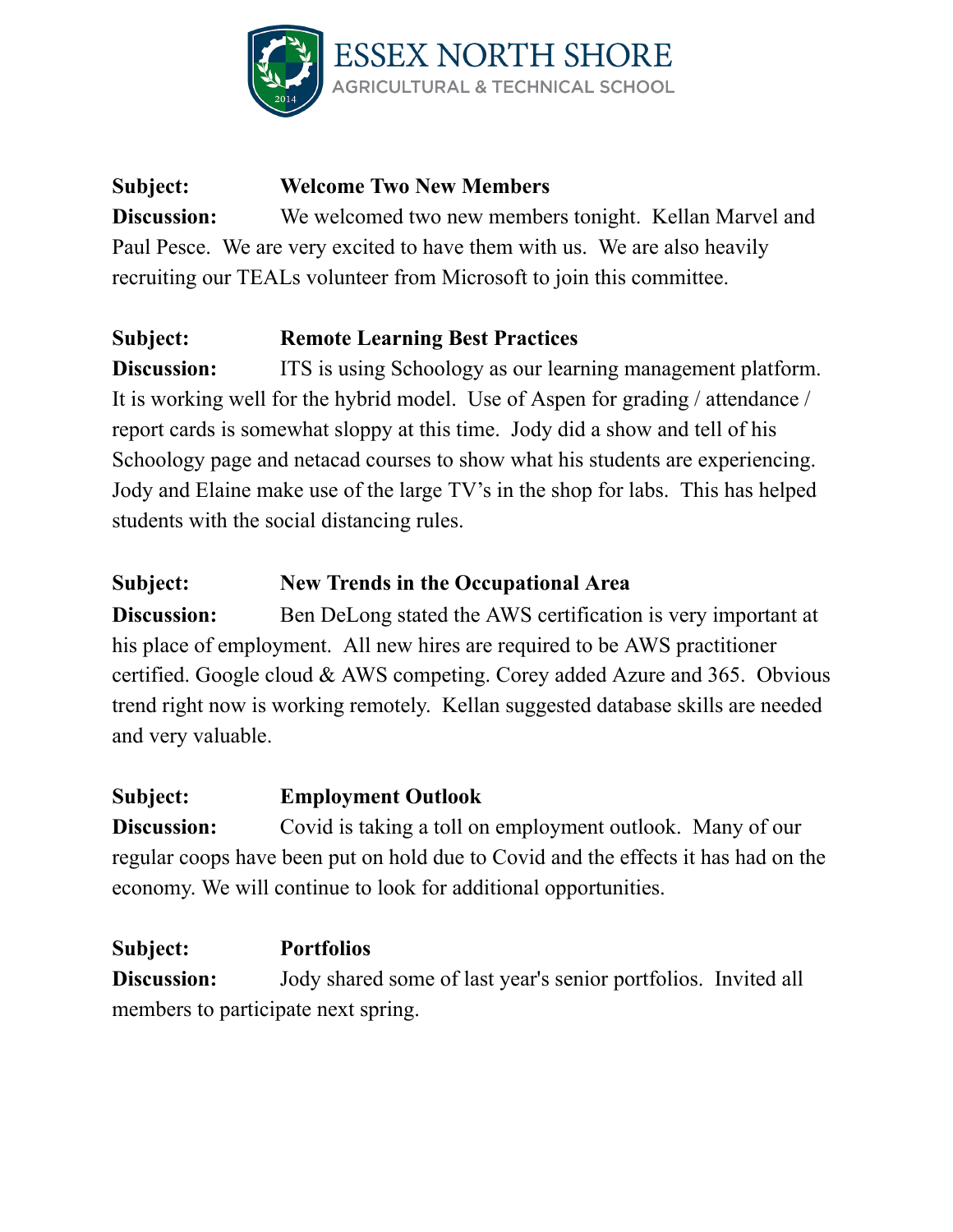

# **Subject: Welcome Two New Members Discussion:** We welcomed two new members tonight. Kellan Marvel and Paul Pesce. We are very excited to have them with us. We are also heavily recruiting our TEALs volunteer from Microsoft to join this committee.

# **Subject: Remote Learning Best Practices**

**Discussion:** ITS is using Schoology as our learning management platform. It is working well for the hybrid model. Use of Aspen for grading / attendance / report cards is somewhat sloppy at this time. Jody did a show and tell of his Schoology page and netacad courses to show what his students are experiencing. Jody and Elaine make use of the large TV's in the shop for labs. This has helped students with the social distancing rules.

#### **Subject: New Trends in the Occupational Area**

**Discussion:** Ben DeLong stated the AWS certification is very important at his place of employment. All new hires are required to be AWS practitioner certified. Google cloud & AWS competing. Corey added Azure and 365. Obvious trend right now is working remotely. Kellan suggested database skills are needed and very valuable.

## **Subject: Employment Outlook**

**Discussion:** Covid is taking a toll on employment outlook. Many of our regular coops have been put on hold due to Covid and the effects it has had on the economy. We will continue to look for additional opportunities.

**Subject: Portfolios Discussion:** Jody shared some of last year's senior portfolios. Invited all members to participate next spring.